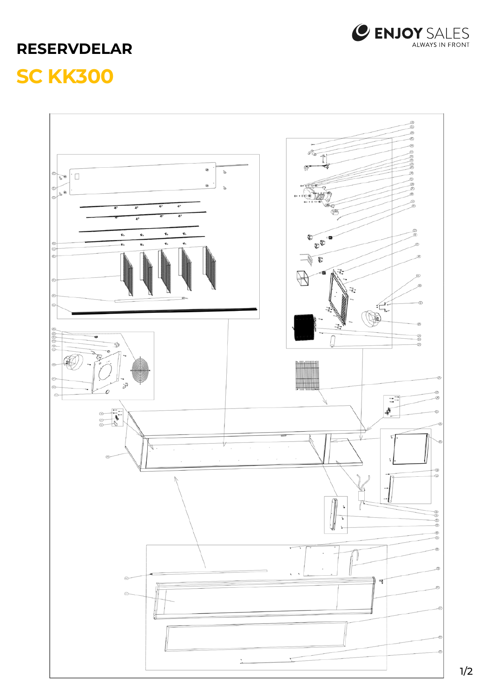

## **RESERVDELAR SC KK300**



1/2